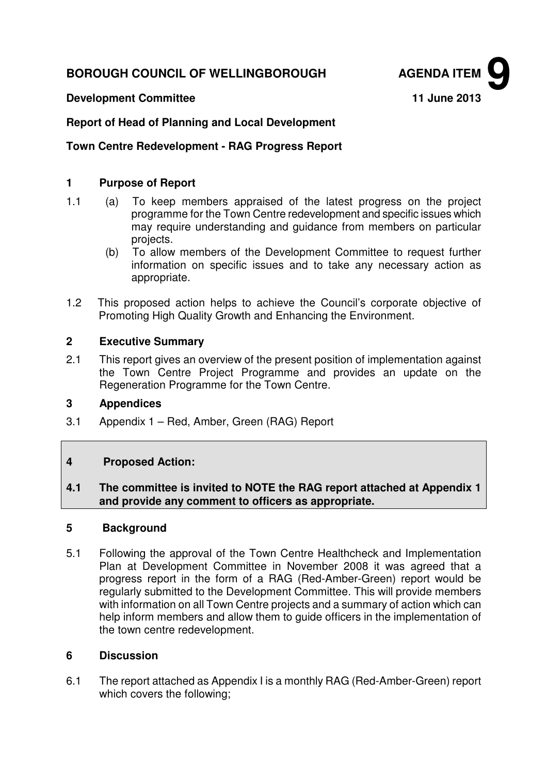# **BOROUGH COUNCIL OF WELLINGBOROUGH AGENDA ITEM**



### **Report of Head of Planning and Local Development**

#### **Town Centre Redevelopment - RAG Progress Report**

#### **1 Purpose of Report**

- 1.1 (a) To keep members appraised of the latest progress on the project programme for the Town Centre redevelopment and specific issues which may require understanding and guidance from members on particular projects.
	- (b) To allow members of the Development Committee to request further information on specific issues and to take any necessary action as appropriate.
- 1.2 This proposed action helps to achieve the Council's corporate objective of Promoting High Quality Growth and Enhancing the Environment.

## **2 Executive Summary**

2.1 This report gives an overview of the present position of implementation against the Town Centre Project Programme and provides an update on the Regeneration Programme for the Town Centre.

#### **3 Appendices**

3.1 Appendix 1 – Red, Amber, Green (RAG) Report

## **4 Proposed Action:**

#### **4.1 The committee is invited to NOTE the RAG report attached at Appendix 1 and provide any comment to officers as appropriate.**

#### **5 Background**

5.1 Following the approval of the Town Centre Healthcheck and Implementation Plan at Development Committee in November 2008 it was agreed that a progress report in the form of a RAG (Red-Amber-Green) report would be regularly submitted to the Development Committee. This will provide members with information on all Town Centre projects and a summary of action which can help inform members and allow them to guide officers in the implementation of the town centre redevelopment.

#### **6 Discussion**

6.1 The report attached as Appendix I is a monthly RAG (Red-Amber-Green) report which covers the following;

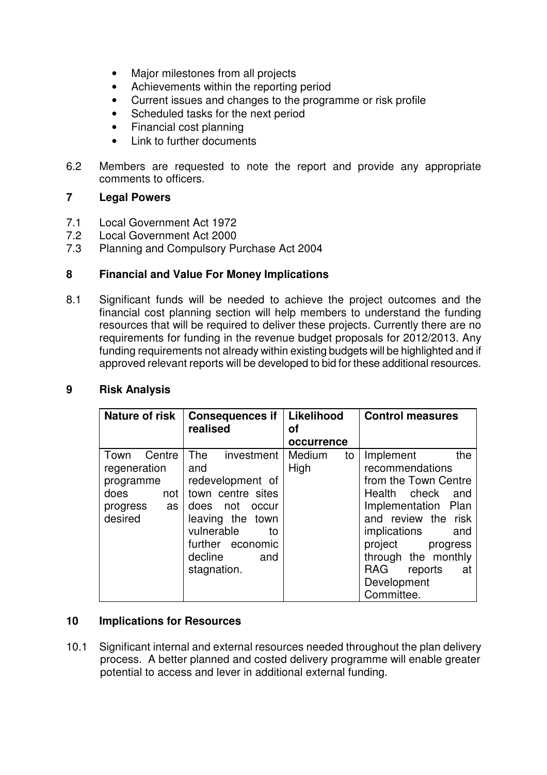- Major milestones from all projects
- Achievements within the reporting period
- Current issues and changes to the programme or risk profile
- Scheduled tasks for the next period
- Financial cost planning
- Link to further documents
- 6.2 Members are requested to note the report and provide any appropriate comments to officers.

#### **7 Legal Powers**

- 7.1 Local Government Act 1972
- 7.2 Local Government Act 2000<br>7.3 Planning and Compulsory Pu
- Planning and Compulsory Purchase Act 2004

#### **8 Financial and Value For Money Implications**

8.1 Significant funds will be needed to achieve the project outcomes and the financial cost planning section will help members to understand the funding resources that will be required to deliver these projects. Currently there are no requirements for funding in the revenue budget proposals for 2012/2013. Any funding requirements not already within existing budgets will be highlighted and if approved relevant reports will be developed to bid for these additional resources.

| realised                                                                                                                                                                               | Likelihood<br>Οf       | <b>Control measures</b>                                                                                                                                                                                                                                           |
|----------------------------------------------------------------------------------------------------------------------------------------------------------------------------------------|------------------------|-------------------------------------------------------------------------------------------------------------------------------------------------------------------------------------------------------------------------------------------------------------------|
|                                                                                                                                                                                        | occurrence             |                                                                                                                                                                                                                                                                   |
| The<br>investment<br>and<br>redevelopment of<br>town centre sites<br>does<br>not<br>occur<br>leaving the town<br>vulnerable<br>to<br>further economic<br>decline<br>and<br>stagnation. | Medium<br>to<br>High   | Implement<br>the<br>recommendations<br>from the Town Centre<br>Health check<br>and<br>Implementation Plan<br>and review the risk<br><i>implications</i><br>and<br>project<br>progress<br>through the monthly<br>RAG<br>reports<br>at<br>Development<br>Committee. |
|                                                                                                                                                                                        | <b>Consequences if</b> |                                                                                                                                                                                                                                                                   |

### **9 Risk Analysis**

#### **10 Implications for Resources**

10.1 Significant internal and external resources needed throughout the plan delivery process. A better planned and costed delivery programme will enable greater potential to access and lever in additional external funding.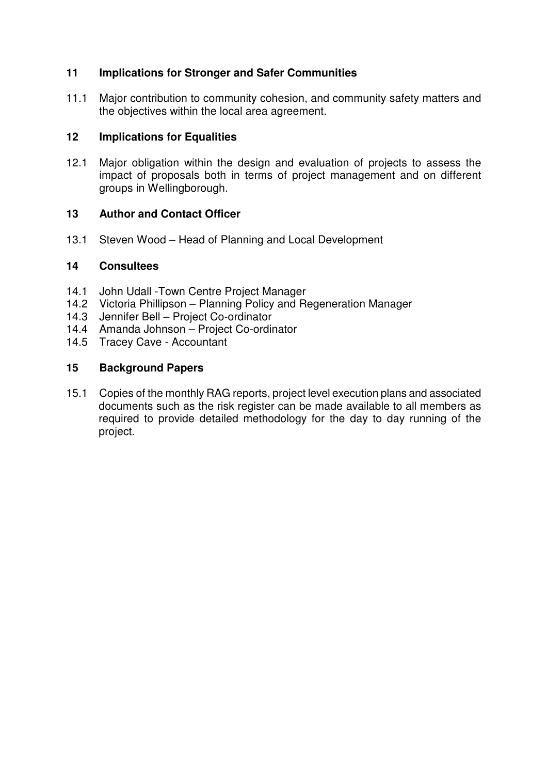# **11 Implications for Stronger and Safer Communities**

11.1 Major contribution to community cohesion, and community safety matters and the objectives within the local area agreement.

# **12 Implications for Equalities**

12.1 Major obligation within the design and evaluation of projects to assess the impact of proposals both in terms of project management and on different groups in Wellingborough.

## **13 Author and Contact Officer**

13.1 Steven Wood – Head of Planning and Local Development

## **14 Consultees**

- 14.1 John Udall -Town Centre Project Manager
- 14.2 Victoria Phillipson Planning Policy and Regeneration Manager
- 14.3 Jennifer Bell Project Co-ordinator
- 14.4 Amanda Johnson Project Co-ordinator
- 14.5 Tracey Cave Accountant

# **15 Background Papers**

15.1 Copies of the monthly RAG reports, project level execution plans and associated documents such as the risk register can be made available to all members as required to provide detailed methodology for the day to day running of the project.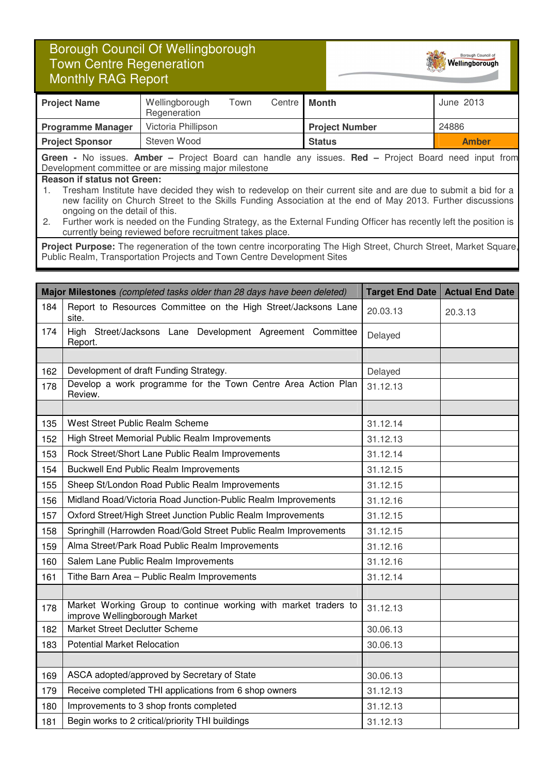# Borough Council Of Wellingborough Town Centre Regeneration Monthly RAG Report



Borough Council of Wellingborough

**Green -** No issues. **Amber –** Project Board can handle any issues. **Red –** Project Board need input from Development committee or are missing major milestone

#### **Reason if status not Green:**

1. Tresham Institute have decided they wish to redevelop on their current site and are due to submit a bid for a new facility on Church Street to the Skills Funding Association at the end of May 2013. Further discussions ongoing on the detail of this.

2. Further work is needed on the Funding Strategy, as the External Funding Officer has recently left the position is currently being reviewed before recruitment takes place.

Project Purpose: The regeneration of the town centre incorporating The High Street, Church Street, Market Square, Public Realm, Transportation Projects and Town Centre Development Sites

|     | Major Milestones (completed tasks older than 28 days have been deleted)                          | <b>Target End Date</b> | <b>Actual End Date</b> |
|-----|--------------------------------------------------------------------------------------------------|------------------------|------------------------|
| 184 | Report to Resources Committee on the High Street/Jacksons Lane<br>site.                          | 20.03.13               | 20.3.13                |
| 174 | High Street/Jacksons Lane Development Agreement Committee<br>Report.                             | Delayed                |                        |
|     |                                                                                                  |                        |                        |
| 162 | Development of draft Funding Strategy.                                                           | Delayed                |                        |
| 178 | Develop a work programme for the Town Centre Area Action Plan<br>Review.                         | 31.12.13               |                        |
|     |                                                                                                  |                        |                        |
| 135 | West Street Public Realm Scheme                                                                  | 31.12.14               |                        |
| 152 | High Street Memorial Public Realm Improvements                                                   | 31.12.13               |                        |
| 153 | Rock Street/Short Lane Public Realm Improvements                                                 | 31.12.14               |                        |
| 154 | <b>Buckwell End Public Realm Improvements</b>                                                    | 31.12.15               |                        |
| 155 | Sheep St/London Road Public Realm Improvements                                                   | 31.12.15               |                        |
| 156 | Midland Road/Victoria Road Junction-Public Realm Improvements                                    | 31.12.16               |                        |
| 157 | Oxford Street/High Street Junction Public Realm Improvements                                     | 31.12.15               |                        |
| 158 | Springhill (Harrowden Road/Gold Street Public Realm Improvements                                 | 31.12.15               |                        |
| 159 | Alma Street/Park Road Public Realm Improvements                                                  | 31.12.16               |                        |
| 160 | Salem Lane Public Realm Improvements                                                             | 31.12.16               |                        |
| 161 | Tithe Barn Area - Public Realm Improvements<br>31.12.14                                          |                        |                        |
|     |                                                                                                  |                        |                        |
| 178 | Market Working Group to continue working with market traders to<br>improve Wellingborough Market | 31.12.13               |                        |
| 182 | Market Street Declutter Scheme                                                                   | 30.06.13               |                        |
| 183 | <b>Potential Market Relocation</b>                                                               | 30.06.13               |                        |
|     |                                                                                                  |                        |                        |
| 169 | ASCA adopted/approved by Secretary of State                                                      | 30.06.13               |                        |
| 179 | Receive completed THI applications from 6 shop owners                                            | 31.12.13               |                        |
| 180 | Improvements to 3 shop fronts completed                                                          | 31.12.13               |                        |
| 181 | Begin works to 2 critical/priority THI buildings                                                 | 31.12.13               |                        |